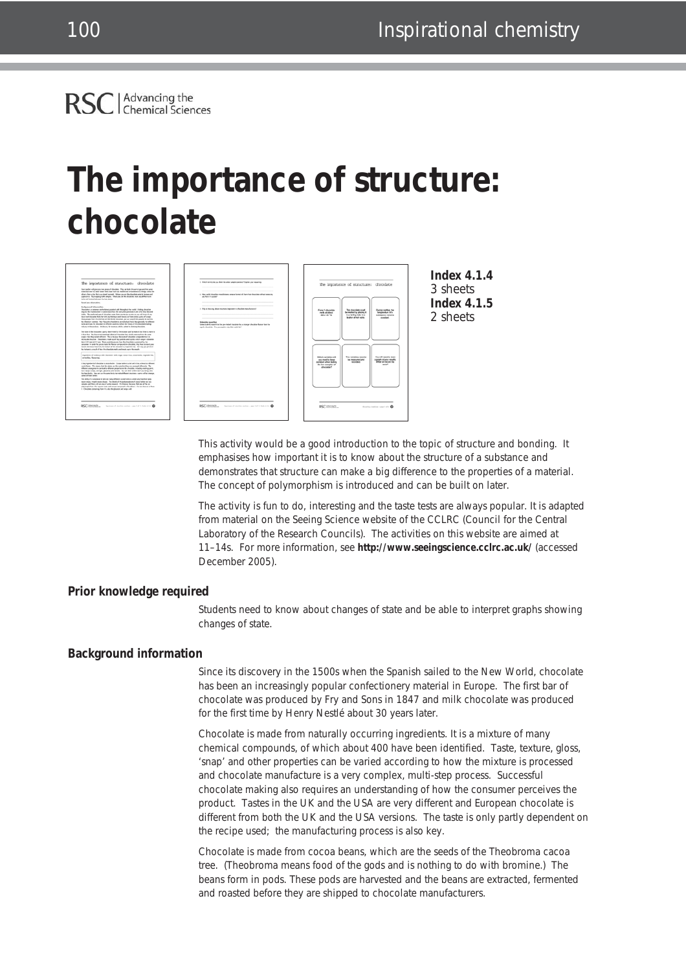### Advancing the<br>Chemical Sciences **RSC**

# **The importance of structure: chocolate**



This activity would be a good introduction to the topic of structure and bonding. It emphasises how important it is to know about the structure of a substance and demonstrates that structure can make a big difference to the properties of a material. The concept of polymorphism is introduced and can be built on later.

The activity is fun to do, interesting and the taste tests are always popular. It is adapted from material on the Seeing Science website of the CCLRC (Council for the Central Laboratory of the Research Councils). The activities on this website are aimed at 11–14s. For more information, see **http://www.seeingscience.cclrc.ac.uk/** (accessed December 2005).

### **Prior knowledge required**

Students need to know about changes of state and be able to interpret graphs showing changes of state.

### **Background information**

Since its discovery in the 1500s when the Spanish sailed to the New World, chocolate has been an increasingly popular confectionery material in Europe. The first bar of chocolate was produced by Fry and Sons in 1847 and milk chocolate was produced for the first time by Henry Nestlé about 30 years later.

Chocolate is made from naturally occurring ingredients. It is a mixture of many chemical compounds, of which about 400 have been identified. Taste, texture, gloss, 'snap' and other properties can be varied according to how the mixture is processed and chocolate manufacture is a very complex, multi-step process. Successful chocolate making also requires an understanding of how the consumer perceives the product. Tastes in the UK and the USA are very different and European chocolate is different from both the UK and the USA versions. The taste is only partly dependent on the recipe used; the manufacturing process is also key.

Chocolate is made from cocoa beans, which are the seeds of the *Theobroma cacoa* tree. (Theobroma means food of the gods and is nothing to do with bromine.) The beans form in pods. These pods are harvested and the beans are extracted, fermented and roasted before they are shipped to chocolate manufacturers.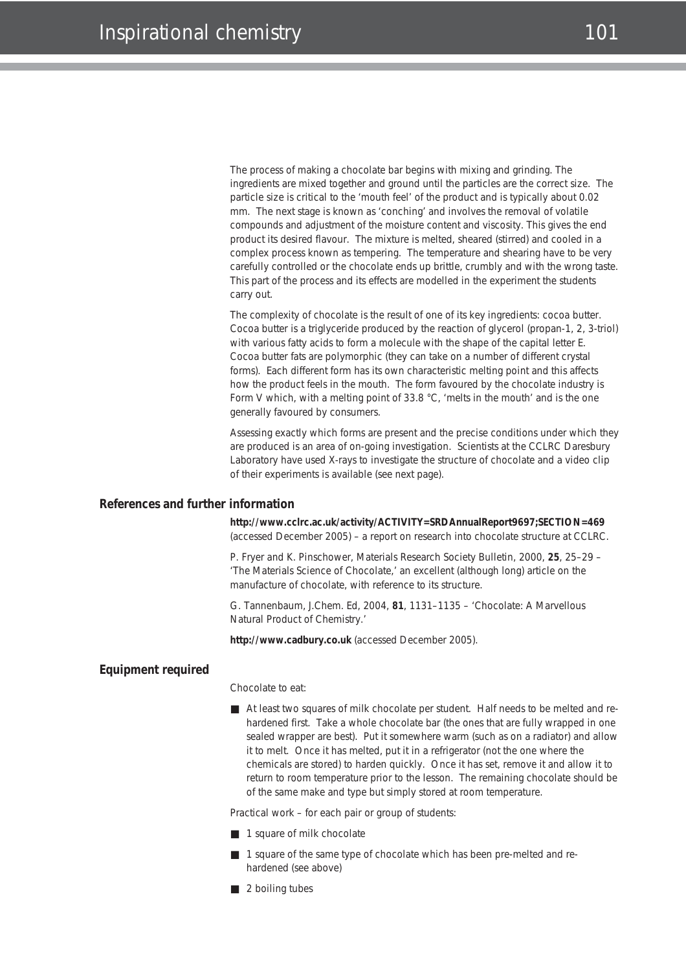The process of making a chocolate bar begins with mixing and grinding. The ingredients are mixed together and ground until the particles are the correct size. The particle size is critical to the 'mouth feel' of the product and is typically about 0.02 mm. The next stage is known as 'conching' and involves the removal of volatile compounds and adjustment of the moisture content and viscosity. This gives the end product its desired flavour. The mixture is melted, sheared (stirred) and cooled in a complex process known as tempering. The temperature and shearing have to be very carefully controlled or the chocolate ends up brittle, crumbly and with the wrong taste. This part of the process and its effects are modelled in the experiment the students carry out.

The complexity of chocolate is the result of one of its key ingredients: cocoa butter. Cocoa butter is a triglyceride produced by the reaction of glycerol (propan-1, 2, 3-triol) with various fatty acids to form a molecule with the shape of the capital letter E. Cocoa butter fats are polymorphic (they can take on a number of different crystal forms). Each different form has its own characteristic melting point and this affects how the product feels in the mouth. The form favoured by the chocolate industry is Form V which, with a melting point of 33.8 °C, 'melts in the mouth' and is the one generally favoured by consumers.

Assessing exactly which forms are present and the precise conditions under which they are produced is an area of on-going investigation. Scientists at the CCLRC Daresbury Laboratory have used X-rays to investigate the structure of chocolate and a video clip of their experiments is available (see next page).

#### **References and further information**

**http://www.cclrc.ac.uk/activity/ACTIVITY=SRDAnnualReport9697;SECTION=469** (accessed December 2005) – a report on research into chocolate structure at CCLRC.

P. Fryer and K. Pinschower, *Materials Research Society Bulletin*, 2000, **25**, 25–29 – 'The Materials Science of Chocolate,' an excellent (although long) article on the manufacture of chocolate, with reference to its structure.

G. Tannenbaum, *J.Chem. Ed*, 2004, **81**, 1131–1135 – 'Chocolate: A Marvellous Natural Product of Chemistry.'

**http://www.cadbury.co.uk** (accessed December 2005).

### **Equipment required**

Chocolate to eat:

■ At least two squares of milk chocolate per student. Half needs to be melted and rehardened first. Take a whole chocolate bar (the ones that are fully wrapped in one sealed wrapper are best). Put it somewhere warm (such as on a radiator) and allow it to melt. Once it has melted, put it in a refrigerator (not the one where the chemicals are stored) to harden quickly. Once it has set, remove it and allow it to return to room temperature prior to the lesson. The remaining chocolate should be of the same make and type but simply stored at room temperature.

Practical work – for each pair or group of students:

- 1 square of milk chocolate
- 1 square of the same type of chocolate which has been pre-melted and rehardened (see above)
- 2 boiling tubes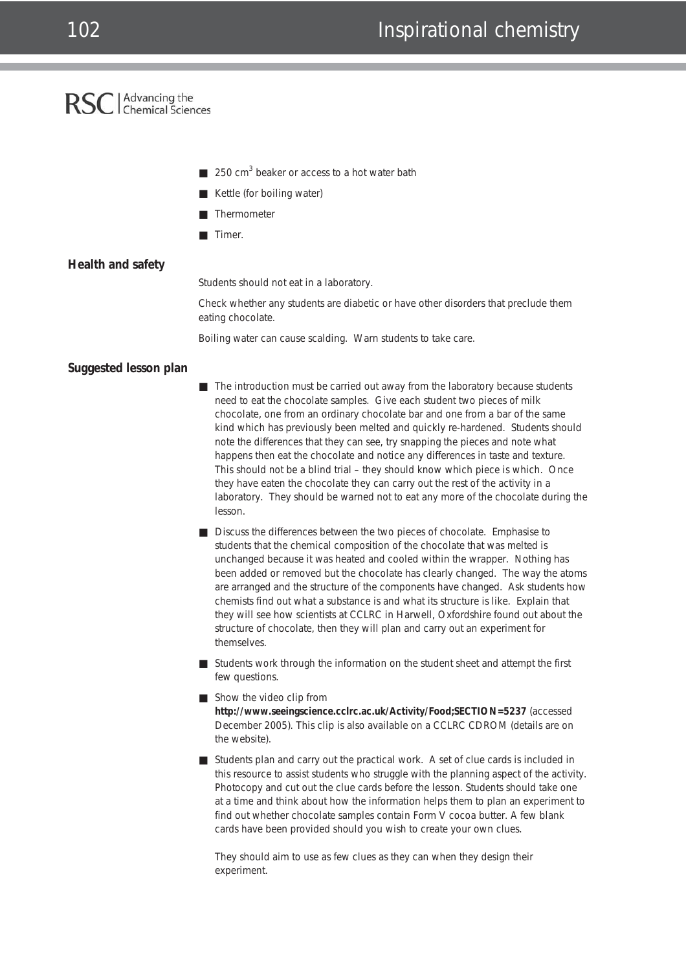### 102 **Inspirational chemistry**

### Advancing the<br>
Chemical Sciences **RSC**

- 250 cm<sup>3</sup> beaker or access to a hot water bath
- Kettle (for boiling water)
- Thermometer
- Timer.

### **Health and safety**

Students should not eat in a laboratory.

Check whether any students are diabetic or have other disorders that preclude them eating chocolate.

Boiling water can cause scalding. Warn students to take care.

### **Suggested lesson plan**

- The introduction must be carried out away from the laboratory because students need to eat the chocolate samples. Give each student two pieces of milk chocolate, one from an ordinary chocolate bar and one from a bar of the same kind which has previously been melted and quickly re-hardened. Students should note the differences that they can see, try snapping the pieces and note what happens then eat the chocolate and notice any differences in taste and texture. This should not be a blind trial – they should know which piece is which. Once they have eaten the chocolate they can carry out the rest of the activity in a laboratory. They should be warned not to eat any more of the chocolate during the lesson.
- Discuss the differences between the two pieces of chocolate. Emphasise to students that the chemical composition of the chocolate that was melted is unchanged because it was heated and cooled within the wrapper. Nothing has been added or removed but the chocolate has clearly changed. The way the atoms are arranged and the structure of the components have changed. Ask students how chemists find out what a substance is and what its structure is like. Explain that they will see how scientists at CCLRC in Harwell, Oxfordshire found out about the structure of chocolate, then they will plan and carry out an experiment for themselves.
- Students work through the information on the student sheet and attempt the first few questions.
- Show the video clip from **http://www.seeingscience.cclrc.ac.uk/Activity/Food;SECTION=5237** (accessed December 2005). This clip is also available on a CCLRC CDROM (details are on the website).
- Students plan and carry out the practical work. A set of clue cards is included in this resource to assist students who struggle with the planning aspect of the activity. Photocopy and cut out the clue cards before the lesson. Students should take one at a time and think about how the information helps them to plan an experiment to find out whether chocolate samples contain Form V cocoa butter. A few blank cards have been provided should you wish to create your own clues.

They should aim to use as few clues as they can when they design their experiment.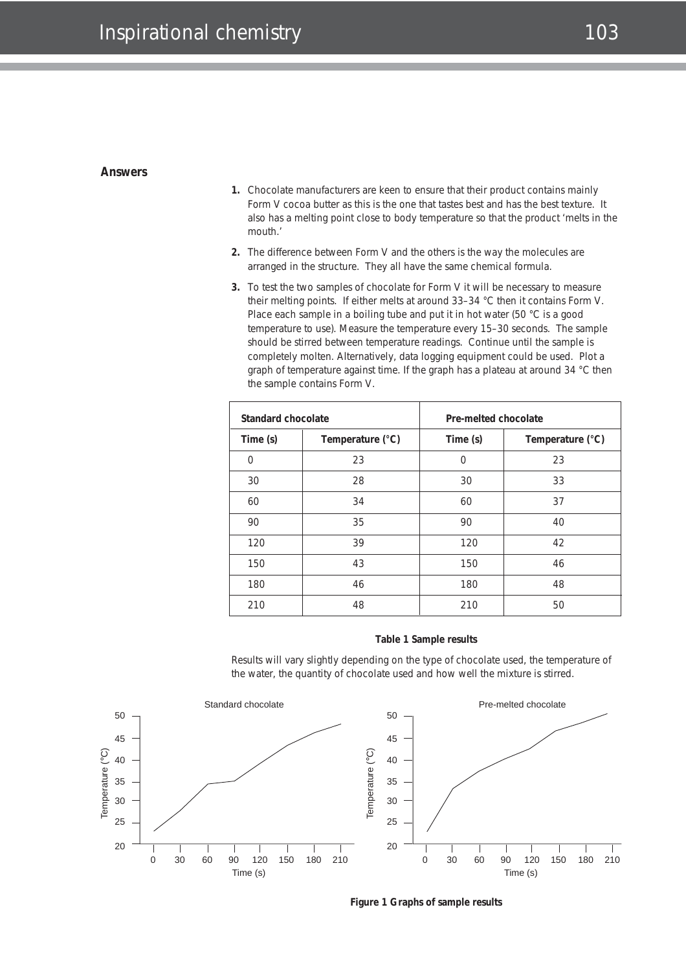### Inspirational chemistry and the contract of the 103

### **Answers**

- **1.** Chocolate manufacturers are keen to ensure that their product contains mainly Form V cocoa butter as this is the one that tastes best and has the best texture. It also has a melting point close to body temperature so that the product 'melts in the mouth.'
- **2.** The difference between Form V and the others is the way the molecules are arranged in the structure. They all have the same chemical formula.
- **3.** To test the two samples of chocolate for Form V it will be necessary to measure their melting points. If either melts at around 33–34 °C then it contains Form V. Place each sample in a boiling tube and put it in hot water (50 °C is a good temperature to use). Measure the temperature every 15–30 seconds. The sample should be stirred between temperature readings. Continue until the sample is completely molten. Alternatively, data logging equipment could be used. Plot a graph of temperature against time. If the graph has a plateau at around 34 °C then the sample contains Form V.

| Standard chocolate |                  | Pre-melted chocolate |                  |
|--------------------|------------------|----------------------|------------------|
| Time (s)           | Temperature (°C) | Time (s)             | Temperature (°C) |
| $\Omega$           | 23               | $\Omega$             | 23               |
| 30                 | 28               | 30                   | 33               |
| 60                 | 34               | 60                   | 37               |
| 90                 | 35               | 90                   | 40               |
| 120                | 39               | 120                  | 42               |
| 150                | 43               | 150                  | 46               |
| 180                | 46               | 180                  | 48               |
| 210                | 48               | 210                  | 50               |

#### **Table 1 Sample results**

Results will vary slightly depending on the type of chocolate used, the temperature of the water, the quantity of chocolate used and how well the mixture is stirred.



**Figure 1 Graphs of sample results**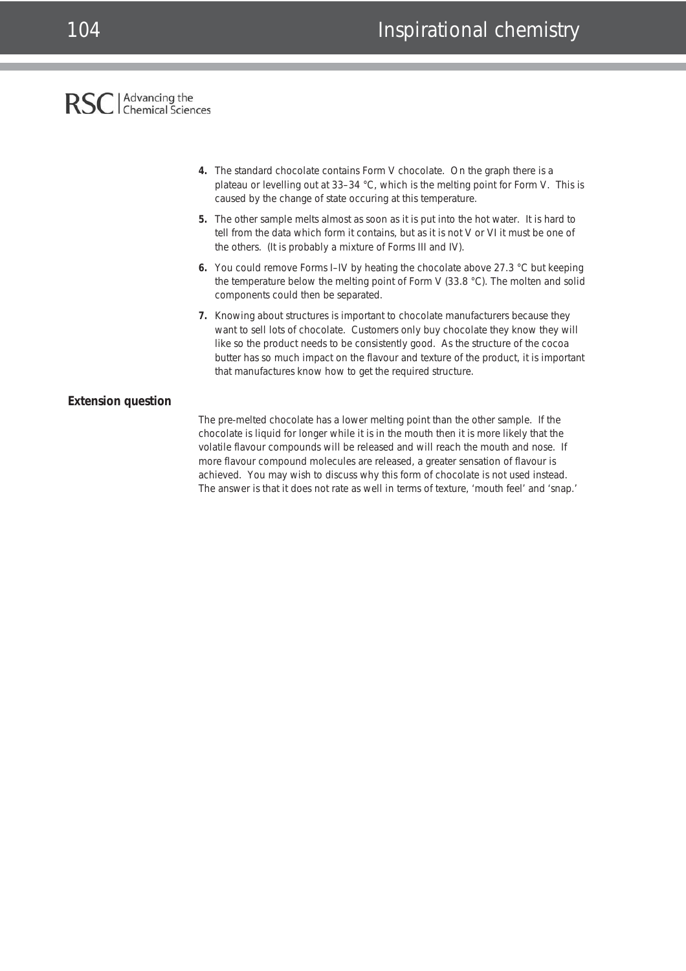## RSC | Advancing the

- **4.** The standard chocolate contains Form V chocolate. On the graph there is a plateau or levelling out at 33–34 °C, which is the melting point for Form V. This is caused by the change of state occuring at this temperature.
- **5.** The other sample melts almost as soon as it is put into the hot water. It is hard to tell from the data which form it contains, but as it is not V or VI it must be one of the others. (It is probably a mixture of Forms III and IV).
- **6.** You could remove Forms I–IV by heating the chocolate above 27.3 °C but keeping the temperature below the melting point of Form V (33.8 °C). The molten and solid components could then be separated.
- **7.** Knowing about structures is important to chocolate manufacturers because they want to sell lots of chocolate. Customers only buy chocolate they know they will like so the product needs to be consistently good. As the structure of the cocoa butter has so much impact on the flavour and texture of the product, it is important that manufactures know how to get the required structure.

### **Extension question**

The pre-melted chocolate has a lower melting point than the other sample. If the chocolate is liquid for longer while it is in the mouth then it is more likely that the volatile flavour compounds will be released and will reach the mouth and nose. If more flavour compound molecules are released, a greater sensation of flavour is achieved. You may wish to discuss why this form of chocolate is not used instead. The answer is that it does not rate as well in terms of texture, 'mouth feel' and 'snap.'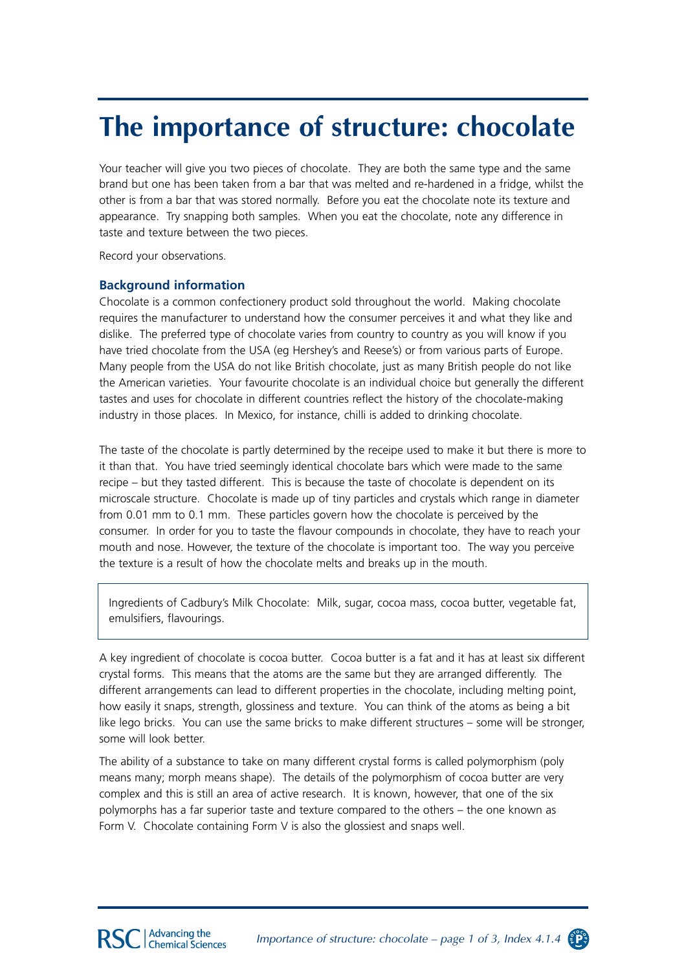## **The importance of structure: chocolate**

Your teacher will give you two pieces of chocolate. They are both the same type and the same brand but one has been taken from a bar that was melted and re-hardened in a fridge, whilst the other is from a bar that was stored normally. Before you eat the chocolate note its texture and appearance. Try snapping both samples. When you eat the chocolate, note any difference in taste and texture between the two pieces.

Record your observations.

### **Background information**

Chocolate is a common confectionery product sold throughout the world. Making chocolate requires the manufacturer to understand how the consumer perceives it and what they like and dislike. The preferred type of chocolate varies from country to country as you will know if you have tried chocolate from the USA (eg Hershey's and Reese's) or from various parts of Europe. Many people from the USA do not like British chocolate, just as many British people do not like the American varieties. Your favourite chocolate is an individual choice but generally the different tastes and uses for chocolate in different countries reflect the history of the chocolate-making industry in those places. In Mexico, for instance, chilli is added to drinking chocolate.

The taste of the chocolate is partly determined by the receipe used to make it but there is more to it than that. You have tried seemingly identical chocolate bars which were made to the same recipe – but they tasted different. This is because the taste of chocolate is dependent on its microscale structure. Chocolate is made up of tiny particles and crystals which range in diameter from 0.01 mm to 0.1 mm. These particles govern how the chocolate is perceived by the consumer. In order for you to taste the flavour compounds in chocolate, they have to reach your mouth and nose. However, the texture of the chocolate is important too. The way you perceive the texture is a result of how the chocolate melts and breaks up in the mouth.

Ingredients of Cadbury's Milk Chocolate: Milk, sugar, cocoa mass, cocoa butter, vegetable fat, emulsifiers, flavourings.

A key ingredient of chocolate is cocoa butter. Cocoa butter is a fat and it has at least six different crystal forms. This means that the atoms are the same but they are arranged differently. The different arrangements can lead to different properties in the chocolate, including melting point, how easily it snaps, strength, glossiness and texture. You can think of the atoms as being a bit like lego bricks. You can use the same bricks to make different structures – some will be stronger, some will look better.

The ability of a substance to take on many different crystal forms is called polymorphism (poly means many; morph means shape). The details of the polymorphism of cocoa butter are very complex and this is still an area of active research. It is known, however, that one of the six polymorphs has a far superior taste and texture compared to the others – the one known as Form V. Chocolate containing Form V is also the glossiest and snaps well.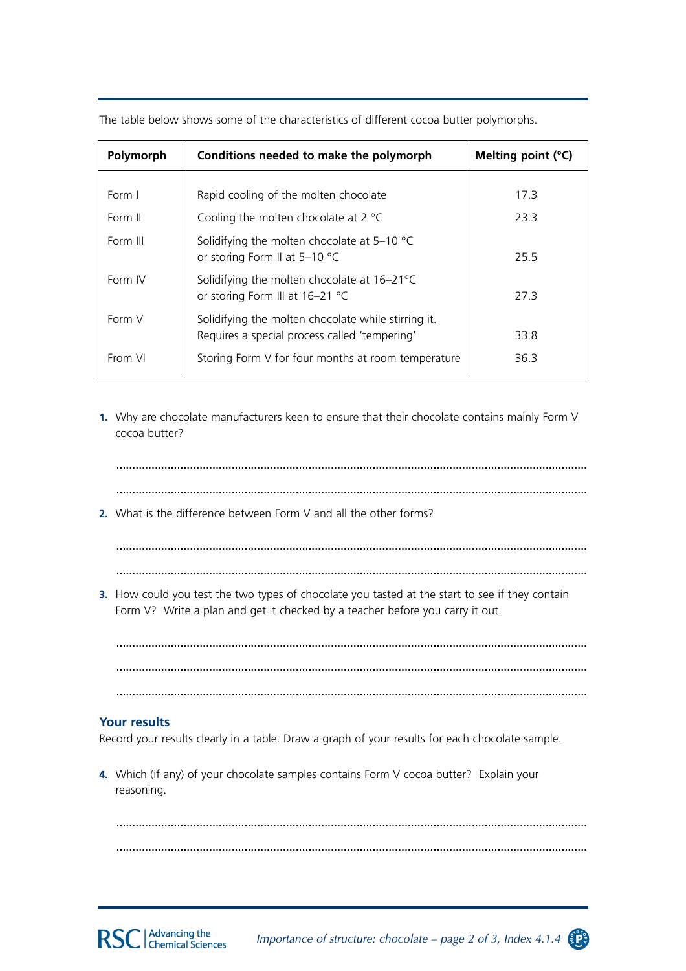| Polymorph | Conditions needed to make the polymorph                                                              | Melting point (°C) |
|-----------|------------------------------------------------------------------------------------------------------|--------------------|
|           |                                                                                                      |                    |
| Form I    | Rapid cooling of the molten chocolate                                                                | 17.3               |
| Form II   | Cooling the molten chocolate at $2^{\circ}C$                                                         | 23.3               |
| Form III  | Solidifying the molten chocolate at $5-10$ °C<br>or storing Form II at 5-10 °C                       | 25.5               |
| Form IV   | Solidifying the molten chocolate at 16-21°C<br>or storing Form III at 16-21 °C                       | 27.3               |
| Form V    | Solidifying the molten chocolate while stirring it.<br>Requires a special process called 'tempering' | 33.8               |
| From VI   | Storing Form V for four months at room temperature                                                   | 36.3               |

The table below shows some of the characteristics of different cocoa butter polymorphs.

**1.** Why are chocolate manufacturers keen to ensure that their chocolate contains mainly Form V cocoa butter?

...................................................................................................................................................

...................................................................................................................................................

**2.** What is the difference between Form V and all the other forms?

................................................................................................................................................... ...................................................................................................................................................

**3.** How could you test the two types of chocolate you tasted at the start to see if they contain Form V? Write a plan and get it checked by a teacher before you carry it out.

................................................................................................................................................... ...................................................................................................................................................

...................................................................................................................................................

### **Your results**

Record your results clearly in a table. Draw a graph of your results for each chocolate sample.

**4.** Which (if any) of your chocolate samples contains Form V cocoa butter? Explain your reasoning.

................................................................................................................................................... ...................................................................................................................................................

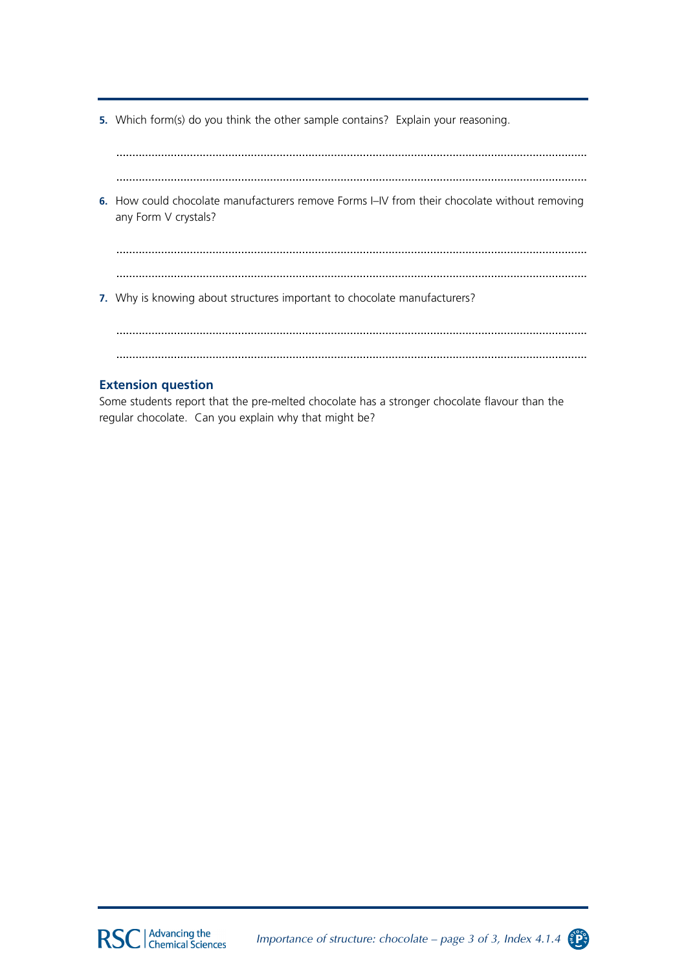**5.** Which form(s) do you think the other sample contains? Explain your reasoning.

................................................................................................................................................... ................................................................................................................................................... **6.** How could chocolate manufacturers remove Forms I–IV from their chocolate without removing any Form V crystals? ................................................................................................................................................... ................................................................................................................................................... **7.** Why is knowing about structures important to chocolate manufacturers? ................................................................................................................................................... ...................................................................................................................................................

### **Extension question**

Some students report that the pre-melted chocolate has a stronger chocolate flavour than the regular chocolate. Can you explain why that might be?



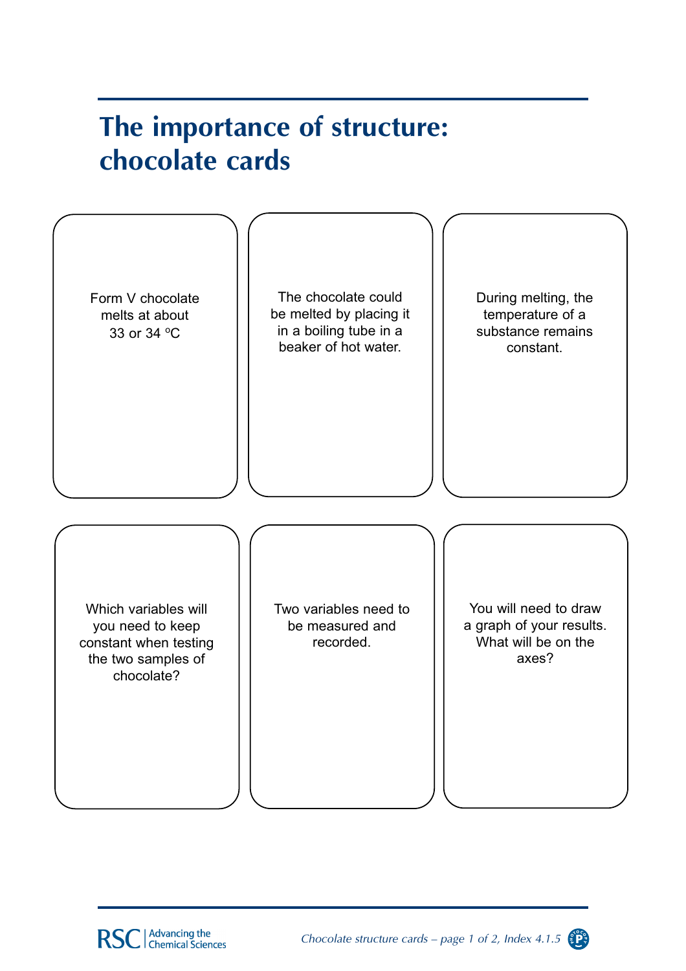## The importance of structure: chocolate cards